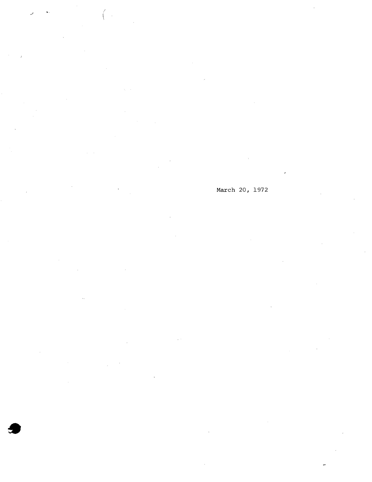í.

March 20, 1972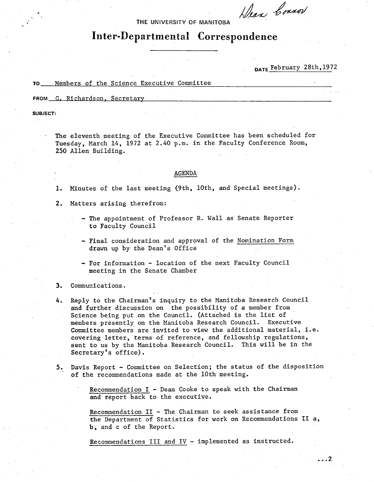$h$ lean Connor

**THE UNIVERSITY OF MANITOBA** 

# **Inter-Departmental Correspondence**

**DATE** February 28th,1972

 $\cdots$ <sup>2</sup>

**TO** Members of the Science Executive Committee

FROM G. Richardson, Secretary

**SUBJECT:** 

The eleventh meeting of the Executive Committee has been scheduled for Tuesday, March 14, 1972 at 2.40 p.m. in the Faculty Conference Room, 250 Allen Building.

#### AGENDA

1. Minutes of the last meeting (9th, 10th, and Special meetings).

2. Matters arising therefrom:

- The appointment of Professor R. Wall as Senate Reporter to Faculty Council
- Final consideration and approval of the Nomination Form drawn up by the Dean's Office
- For information location of the next Faculty Council meeting in the Senate Chamber
- Communications.
- Reply to the Chairman's inquiry to the Manitoba Research Council 4. and further discussion on the possibility of a member from Science being put on the Council. (Attached is the list of members presently on the Manitoba Research Council. Executive Committee members are invited to view the additional material, i.e. covering letter, terms of reference, and fellowship regulations, sent to us by the Manitoba Research Council. This will be in the Secretary's office).
- Davis Report Committee on Selection; the status of the disposition 5. of the recommendations made at the 10th meeting.
	- Recommendation I Dean Cooke to speak with the Chairman and report back to the executive.

Recommendation II - The Chairman to seek assistance from the Department of Statistics for work on Recommendations II a, b, and c of the Report.

Recommendations III and IV - implemented as instructed.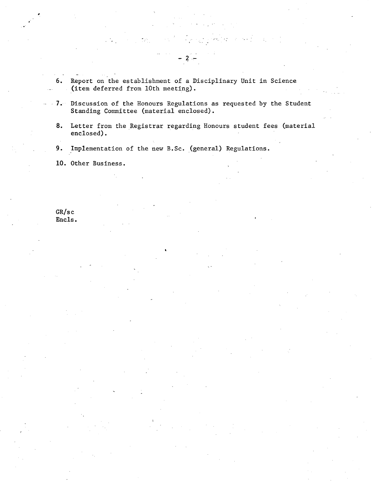- 6. Report on the establishment of a Disciplinary Unit in Science (item deferred from 10th meeting).
- .... 7. Discussion of the Honours Regulations as requested by the Student Standing Committee (material enclosed).

 $-2$ 

- Letter from the Registrar regarding Honours student fees (material enclosed).
- 9. Implementation of the new B.Sc. (general) Regulations.

10. Other Business.

GR/s c Encls.

 $\bar{\tau}$  .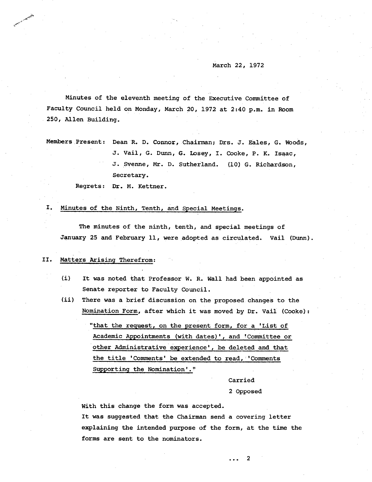#### March 22, 1972

Minutes of the eleventh meeting of the Executive Committee of Faculty Council held on Monday, March 20, 1972 at 2:40 p.m. in Room 250, Allen Building.

Members Present: Dean R. D. Connor, Chairman; Drs. J. Eales, G. Woods, J. Vail, G. Dunn, G. Losey, I. Cooke, P. K. Isaac, 3. Svenne, Mr. D. Sutherland. (10) G. Richardson, Secretary.

Regrets: Dr. M. Kettner.

#### Ι. Minutes of the Ninth, Tenth, and Special Meetings.

The minutes of the ninth, tenth, and special meetings of January 25 and February 11, were adopted as circulated. Vail (Dunn).

#### II. Matters Arising Therefrom:

- $(i)$ It was noted that Professor W. R. Wall had been appointed as Senate reporter to Faculty Council.
- $(ii)$ There was a brief discussion on the proposed. changes to the Nomination Form, after which it was moved by Dr. Vail (Cooke):

"that the request, on the present form, for a 'List of Academic Appointments (with dates)', and 'Committee or other Administrative experience', be deleted and that the title'Comments' be extended to read, 'Comments Supporting the Nomination'."

# Carried

## 2 Opposed

With this change the form was accepted. It was suggested that the Chairman send a covering letter explaining the intended purpose of the form, at the time the forms are sent to the nominators.

> 2  $\ddotsc$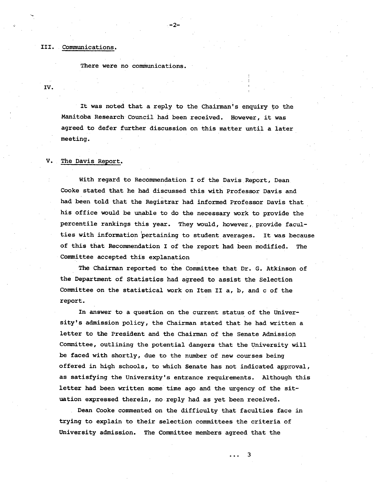## Communications.

There were no communications.

IV.

It was noted that a reply to the chairman's enquiry to the Manitoba Research Council had been received. However, it was agreed to defer further discussion on this matter until a later meeting.

 $-2-$ 

#### $\mathbf{v}_+$ The Davis Report.

With regard to Recommendation. I of the Davis Report, Dean Cooke stated that he had discussed this with Professor Davis and had been told that the Registrar had informed Professor Davis that his office would be unable to do the necessary work to provide the percentile rankings this year. They would, however, provide faculties with information pertaining to student averages. It was because of this that Recommendation I of the report had been modified. The Committee accepted this explanation

The Chairman reported to the Committee that Dr. G. Atkinson of the Department of Statistics had agreed to assist the Selection Committee on the statistical work on Item II a, b, and c of the report.

In answer to a question on the current status of the University's admission policy, the Chairman stated that he had written a letter to the President and the Chairman of the Senate Admission Committee, outlining the potential dangers that the University will be faced with shortly, due to the number of new courses being offered in high schools, to which Senate has not indicated app:oval, as satisfying the University's entrance requirements. Although this letter had been written some time ago and the urgency of the situation expressed therein, no reply had as yet been received.

Dean Cooke commented on the difficulty that faculties face in trying to explain to their selection committees the criteria of University admission. The Committee members agreed that the

. . . 3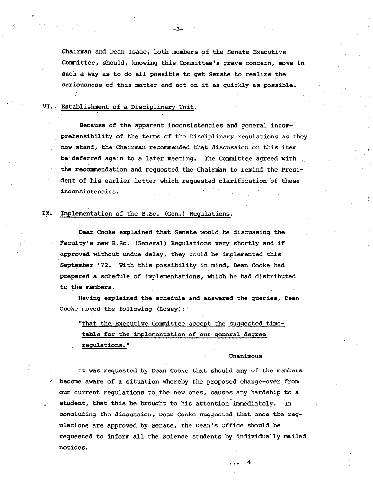Chairman and Dean Isaac, both members of the Senate Executive Committee, should, knowing this Committee's grave concern, move in such a way as to do all possible to get Senate to realize the seriousness of this matter and act on it as quickly as possible.

 $-3-$ 

# VI.. Establishment of a Disciplinary Unit.

Because of the apparent inconsistencies and general incomprehensibility of the terms of the Disciplinary regulations as they now stand, the Chairman recommended that discussion on this item be deferred again to a later meeting. The Committee agreed with the recommendation and requested the Chairman to remind the President of his earlier letter which requested clarification of these inconsistencies. .

# IX. Implementation of the B.Sc. (Gen.) Regulations.

Dean Cooke explained that Senate would be discussing the Faculty's new B.Sc. (General) Regulations very shortly and if approved without undue delay, they could be implemented this September '72. With this possibility in mind, Dean Cooke had prepared a schedule of implementations, which he had distributed to the members.

Having explained, the schedule and answered the queries, Dean Cooke moved the following (Losey):

"that the Executive Committee accept the suggested timetable for the implementation of our general degree regulations."

## Unanimous

It was requested by Dean Cooke that should any of the members ' become aware of a situation whereby the proposed change-over from our current regulations to-the new ones, causes any hardship to a student, that this be brought to his attention immediately. In concluding the discussion, Dean Cooke suggested that once the regulations are approved by Senate, the Dean's Office should be requested to inform all the Science students by individually mailed notices.

4